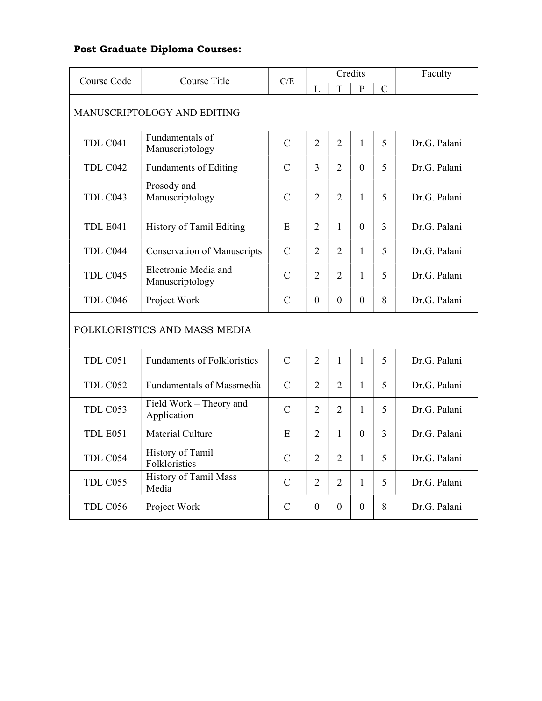## Post Graduate Diploma Courses:

| Course Code                 | Course Title                            | C/E           | Credits        |                |                |                | Faculty      |  |
|-----------------------------|-----------------------------------------|---------------|----------------|----------------|----------------|----------------|--------------|--|
|                             |                                         |               | $\overline{L}$ | T              | P              | $\mathcal{C}$  |              |  |
| MANUSCRIPTOLOGY AND EDITING |                                         |               |                |                |                |                |              |  |
| TDL C041                    | Fundamentals of<br>Manuscriptology      | $\mathcal{C}$ | $\overline{2}$ | $\overline{2}$ | $\mathbf{1}$   | 5              | Dr.G. Palani |  |
| TDL C042                    | <b>Fundaments of Editing</b>            | $\mathcal{C}$ | 3              | $\overline{2}$ | $\overline{0}$ | 5              | Dr.G. Palani |  |
| TDL C043                    | Prosody and<br>Manuscriptology          | $\mathcal{C}$ | $\overline{2}$ | $\overline{2}$ | $\mathbf{1}$   | 5              | Dr.G. Palani |  |
| TDL E041                    | History of Tamil Editing                | E             | $\overline{2}$ | $\mathbf{1}$   | $\overline{0}$ | $\overline{3}$ | Dr.G. Palani |  |
| TDL C044                    | <b>Conservation of Manuscripts</b>      | $\mathsf{C}$  | $\overline{2}$ | $\overline{2}$ | 1              | 5              | Dr.G. Palani |  |
| TDL C045                    | Electronic Media and<br>Manuscriptology | $\mathcal{C}$ | $\overline{2}$ | $\overline{2}$ | 1              | 5              | Dr.G. Palani |  |
| TDL C046                    | Project Work                            | $\mathcal{C}$ | $\mathbf{0}$   | $\overline{0}$ | $\overline{0}$ | 8              | Dr.G. Palani |  |
|                             | FOLKLORISTICS AND MASS MEDIA            |               |                |                |                |                |              |  |
| TDL C051                    | <b>Fundaments of Folkloristics</b>      | $\mathcal{C}$ | $\overline{2}$ | $\mathbf{1}$   | $\mathbf{1}$   | 5              | Dr.G. Palani |  |
| TDL C052                    | <b>Fundamentals of Massmedia</b>        | $\mathcal{C}$ | $\overline{2}$ | $\overline{2}$ | 1              | 5              | Dr.G. Palani |  |
| TDL C053                    | Field Work - Theory and<br>Application  | $\mathcal{C}$ | $\overline{2}$ | $\overline{2}$ | $\mathbf{1}$   | 5              | Dr.G. Palani |  |
| TDL E051                    | Material Culture                        | E             | $\overline{2}$ | $\mathbf{1}$   | $\overline{0}$ | 3              | Dr.G. Palani |  |
| TDL C054                    | History of Tamil<br>Folkloristics       | C             | $\overline{2}$ | $\overline{2}$ | 1              | 5              | Dr.G. Palani |  |
| TDL C055                    | History of Tamil Mass<br>Media          | $\mathcal{C}$ | $\overline{2}$ | $\overline{2}$ | 1              | 5              | Dr.G. Palani |  |
| TDL C056                    | Project Work                            | $\mathcal{C}$ | $\Omega$       | $\Omega$       | $\Omega$       | 8              | Dr.G. Palani |  |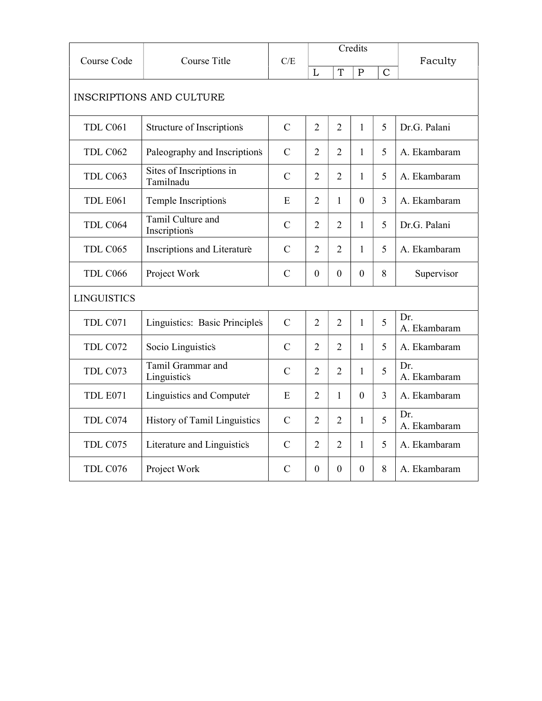| Course Code                     | Course Title                          | C/E            |                |                | Credits      |                | Faculty             |
|---------------------------------|---------------------------------------|----------------|----------------|----------------|--------------|----------------|---------------------|
|                                 |                                       |                | L              | T              | $\mathbf P$  | $\mathcal{C}$  |                     |
| <b>INSCRIPTIONS AND CULTURE</b> |                                       |                |                |                |              |                |                     |
| TDL C061                        | Structure of Inscriptions             | $\overline{C}$ | $\overline{2}$ | $\overline{2}$ | $\mathbf{1}$ | 5              | Dr.G. Palani        |
| TDL C062                        | Paleography and Inscriptions          | $\mathbf C$    | $\overline{2}$ | $\overline{2}$ | 1            | 5              | A. Ekambaram        |
| TDL C <sub>063</sub>            | Sites of Inscriptions in<br>Tamilnadu | $\mathcal{C}$  | $\overline{2}$ | $\overline{2}$ | 1            | 5              | A. Ekambaram        |
| TDL E061                        | Temple Inscriptions                   | E              | $\overline{2}$ | 1              | $\Omega$     | $\overline{3}$ | A. Ekambaram        |
| TDL C064                        | Tamil Culture and<br>Inscriptions     | $\mathcal{C}$  | $\overline{2}$ | $\overline{2}$ | 1            | 5              | Dr.G. Palani        |
| TDL C065                        | Inscriptions and Literature           | $\mathcal{C}$  | $\overline{2}$ | $\overline{2}$ | 1            | 5              | A. Ekambaram        |
| TDL C066                        | Project Work                          | $\mathsf{C}$   | $\mathbf{0}$   | $\mathbf{0}$   | $\mathbf{0}$ | 8              | Supervisor          |
| <b>LINGUISTICS</b>              |                                       |                |                |                |              |                |                     |
| TDL C071                        | Linguistics: Basic Principles         | $\mathcal{C}$  | $\overline{2}$ | $\overline{2}$ | $\mathbf{1}$ | 5              | Dr.<br>A. Ekambaram |
| TDL C072                        | Socio Linguistics                     | $\overline{C}$ | $\overline{2}$ | $\overline{2}$ | 1            | 5              | A. Ekambaram        |
| TDL C073                        | Tamil Grammar and<br>Linguistics      | $\mathcal{C}$  | $\overline{2}$ | $\overline{2}$ | 1            | 5              | Dr.<br>A. Ekambaram |
| TDL E071                        | Linguistics and Computer              | E              | $\overline{2}$ | $\mathbf{1}$   | $\theta$     | 3              | A. Ekambaram        |
| TDL C074                        | History of Tamil Linguistics          | $\mathsf{C}$   | $\overline{2}$ | $\overline{2}$ | 1            | 5              | Dr.<br>A. Ekambaram |
| TDL C075                        | Literature and Linguistics            | $\mathsf{C}$   | $\overline{2}$ | $\overline{2}$ | 1            | 5              | A. Ekambaram        |
| TDL C076                        | Project Work                          | $\mathcal{C}$  | $\theta$       | $\Omega$       | $\Omega$     | 8              | A. Ekambaram        |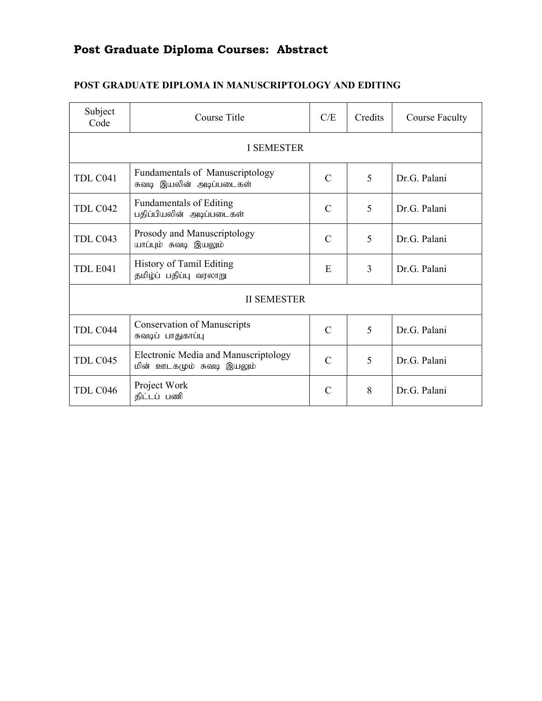# Post Graduate Diploma Courses: Abstract

| Subject<br>Code   | Course Title                                                       | Credits       | Course Faculty |              |  |  |  |  |  |  |
|-------------------|--------------------------------------------------------------------|---------------|----------------|--------------|--|--|--|--|--|--|
| <b>I SEMESTER</b> |                                                                    |               |                |              |  |  |  |  |  |  |
| TDL C041          | <b>Fundamentals of Manuscriptology</b><br>சுவடி இயலின் அடிப்படைகள் | $\mathcal{C}$ | 5              | Dr.G. Palani |  |  |  |  |  |  |
| TDL C042          | <b>Fundamentals of Editing</b><br>பதிப்பியலின் அடிப்படைகள்         | $\mathcal{C}$ | 5              | Dr.G. Palani |  |  |  |  |  |  |
| TDL C043          | Prosody and Manuscriptology<br>யாப்பும் சுவடி இயலும்               | $\mathcal{C}$ | 5              | Dr.G. Palani |  |  |  |  |  |  |
| TDL E041          | History of Tamil Editing<br>தமிழ்ப் பதிப்பு வரலாறு                 | E             | 3              | Dr.G. Palani |  |  |  |  |  |  |
|                   | <b>II SEMESTER</b>                                                 |               |                |              |  |  |  |  |  |  |
| TDL C044          | <b>Conservation of Manuscripts</b><br>சுவடிப் பாதுகாப்பு           | $\mathcal{C}$ | 5              | Dr.G. Palani |  |  |  |  |  |  |
| TDL C045          | Electronic Media and Manuscriptology<br>மின் ஊடகமும் சுவடி இயலும்  | $\mathcal{C}$ | 5              | Dr.G. Palani |  |  |  |  |  |  |
| TDL C046          | Project Work<br>திட்டப் பணி                                        | $\mathcal{C}$ | 8              | Dr.G. Palani |  |  |  |  |  |  |

## POST GRADUATE DIPLOMA IN MANUSCRIPTOLOGY AND EDITING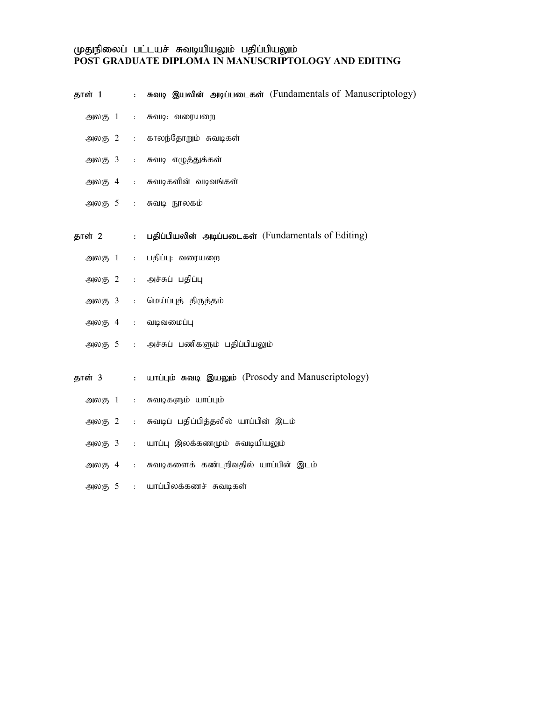#### முதுநிலைப் பட்டயச் சுவடியியலும் பதிப்பியலும் POST GRADUATE DIPLOMA IN MANUSCRIPTOLOGY AND EDITING

| தாள் 1                     | $\mathbf{L}$                       | சுவடி இயலின் அடிப்படைகள் (Fundamentals of Manuscriptology) |
|----------------------------|------------------------------------|------------------------------------------------------------|
| அலகு 1                     | $\ddot{\phantom{a}}$               | சுவடி: வரையறை                                              |
| அலகு 2                     | $\mathbb{R}^{n+1}$                 | காலந்தோறும் சுவடிகள்                                       |
| அலகு 3                     | $\mathbb{R}^{n+1}$                 | சுவடி எழுத்துக்கள்                                         |
| அலகு 4                     | $\mathbf{L}$                       | சுவடிகளின் வடிவங்கள்                                       |
| அலகு 5                     | $\pm$ $\pm$                        | சுவடி நூலகம்                                               |
| தாள் 2                     | $\mathbb{Z}^{\mathbb{Z}^{\times}}$ | பதிப்பியலின் அடிப்படைகள் (Fundamentals of Editing)         |
| $\partial \omega$ (5 $1$ : |                                    | பதிப்பு: வரையறை                                            |
| $\mathfrak{Mod}_5 2$ :     |                                    | அச்சுப் பதிப்பு                                            |
| அலகு 3                     | $\mathbb{C}^{\mathbb{Z}}$ .        | மெய்ப்புத் திருத்தம்                                       |
| அலகு 4                     | $\mathbb{C}^{\mathbb{Z}}$ .        | வடிவமைப்பு                                                 |
|                            |                                    | அலகு 5 : அச்சுப் பணிகளும் பதிப்பியலும்                     |
| தாள் 3                     | $\mathbf{L}$                       | шпіцію напа இшорію (Prosody and Manuscriptology)           |
| அலகு 1                     | $\mathbf{L}$                       | சுவடிகளும் யாப்பும்                                        |
| அலகு 2                     | $1000$                             | சுவடிப் பதிப்பித்தலில் யாப்பின் இடம்                       |
| அலகு 3                     | $\mathbb{R}^{n+1}$                 | யாப்பு இலக்கணமும் சுவடியியலும்                             |
| அலகு 4                     | $\mathbf{L}$                       | சுவடிகளைக் கண்டறிவதில் யாப்பின் இடம்                       |
| அலகு 5                     | $\ddot{\cdot}$                     | யாப்பிலக்கணச் சுவடிகள்                                     |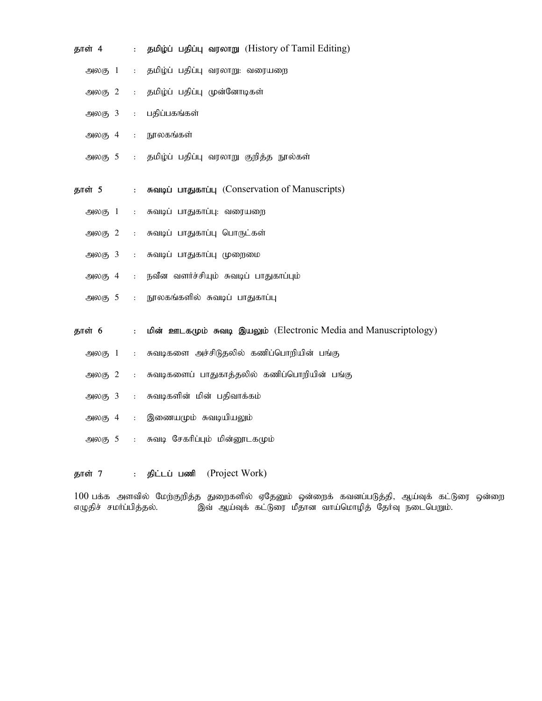| தாள் 4                                        | $\ddot{\phantom{a}}$ | தமிழ்ப் பதிப்பு வரலாறு (History of Tamil Editing)                |
|-----------------------------------------------|----------------------|------------------------------------------------------------------|
| அலகு 1                                        | $\ddot{\phantom{a}}$ | தமிழ்ப் பதிப்பு வரலாறு: வரையறை                                   |
| அலகு 2                                        | $\ddot{\phantom{a}}$ | தமிழ்ப் பதிப்பு முன்னோடிகள்                                      |
| $\mathfrak{Mod}_5$ 3                          | $\ddot{\cdot}$       | பதிப்பகங்கள்                                                     |
| அலகு 4                                        | $\ddot{\cdot}$       | நூலகங்கள்                                                        |
| $-900(5)$ 5                                   | $\ddot{\cdot}$       | தமிழ்ப் பதிப்பு வரலாறு குறித்த நூல்கள்                           |
| தாள் 5                                        | $\ddot{\cdot}$       | சுவடிப் பாதுகாப்பு (Conservation of Manuscripts)                 |
| அலகு $1$                                      | $\ddot{\cdot}$       | சுவடிப் பாதுகாப்பு: வரையறை                                       |
| $\Theta$ <sub>6</sub> $\Theta$ <sub>7</sub> 2 | $\ddot{\cdot}$       | சுவடிப் பாதுகாப்பு பொருட்கள்                                     |
| $\mathfrak{Mod}_5$ 3                          | $\ddot{\cdot}$       | சுவடிப் பாதுகாப்பு முறைமை                                        |
| அலகு 4                                        | $\ddot{\cdot}$       | நவீன வளர்ச்சியும் சுவடிப் பாதுகாப்பும்                           |
| $-900(5)$ 5                                   | $\mathbf{r}$         | நூலகங்களில் சுவடிப் பாதுகாப்பு                                   |
| தாள் 6                                        | $\ddot{\cdot}$       | மின் ஊடகமும் சுவடி இயலும் (Electronic Media and Manuscriptology) |
| அலகு 1                                        | $\ddot{\cdot}$       | சுவடிகளை அச்சிடுதலில் கணிப்பொறியின் பங்கு                        |
| அலகு 2                                        | $\ddot{\cdot}$       | சுவடிகளைப் பாதுகாத்தலில் கணிப்பொறியின் பங்கு                     |
| $\mathfrak{Mod}_5$ 3                          | $\ddot{\cdot}$       | சுவடிகளின் மின் பதிவாக்கம்                                       |
| அலகு 4                                        | $\ddot{\cdot}$       | இணையமும் சுவடியியலும்                                            |
| $\mathfrak{Mod}_5$ 5                          | $\ddot{\cdot}$       | சுவடி சேகரிப்பும் மின்னூடகமும்                                   |
|                                               |                      |                                                                  |

தாள் 7 : திட்டப் பணி (Project Work)

100 பக்க அளவில் மேற்குறித்த துறைகளில் ஏதேனும் ஒன்றைக் கவனப்படுத்தி, ஆய்வுக் கட்டுரை ஒன்றை<br>எழுதிச் சமா்ப்பித்தல். இவ் ஆய்வுக் கட்டுரை மீதான வாய்மொழித் தோ்வு நடைபெறும்.  $\delta$ ல் ஆய்வுக் கட்டுரை மீதான வாய்மொழித் தோவு நடைபெறும்.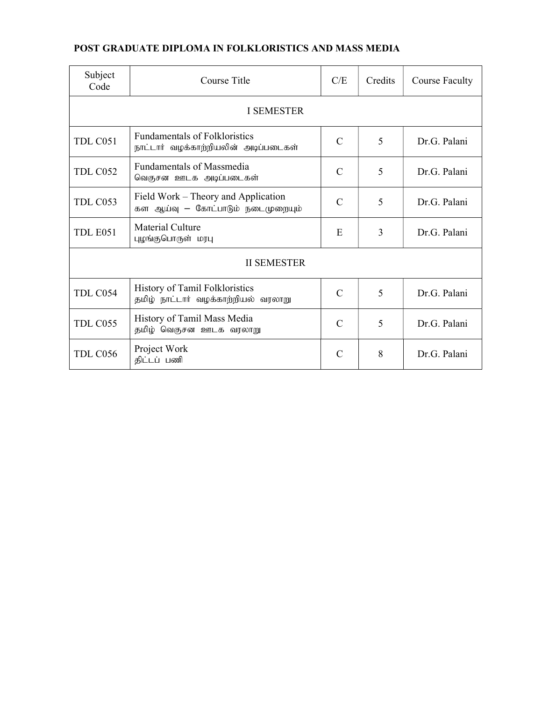## POST GRADUATE DIPLOMA IN FOLKLORISTICS AND MASS MEDIA

| Subject<br>Code | Course Title                                                                 | Credits        | <b>Course Faculty</b> |              |  |  |  |  |  |  |
|-----------------|------------------------------------------------------------------------------|----------------|-----------------------|--------------|--|--|--|--|--|--|
| I SEMESTER      |                                                                              |                |                       |              |  |  |  |  |  |  |
| TDL C051        | <b>Fundamentals of Folkloristics</b><br>நாட்டார் வழக்காற்றியலின் அடிப்படைகள் | $\mathcal{C}$  | 5                     | Dr.G. Palani |  |  |  |  |  |  |
| TDL C052        | Fundamentals of Massmedia<br>வெகுசன ஊடக அடிப்படைகள்                          | $\mathcal{C}$  | 5                     | Dr.G. Palani |  |  |  |  |  |  |
| TDL C053        | Field Work - Theory and Application<br>கள ஆய்வு — கோட்பாடும் நடைமுறையும்     | $\mathcal{C}$  | 5                     | Dr.G. Palani |  |  |  |  |  |  |
| <b>TDL E051</b> | <b>Material Culture</b><br>புழங்குபொருள் மரபு                                | E              | 3                     | Dr.G. Palani |  |  |  |  |  |  |
|                 | <b>II SEMESTER</b>                                                           |                |                       |              |  |  |  |  |  |  |
| TDL C054        | History of Tamil Folkloristics<br>தமிழ் நாட்டார் வழக்காற்றியல் வரலாறு        | $\overline{C}$ | 5                     | Dr.G. Palani |  |  |  |  |  |  |
| TDL C055        | History of Tamil Mass Media<br>தமிழ் வெகுசன ஊடக வரலாறு                       | $\mathcal{C}$  | 5                     | Dr.G. Palani |  |  |  |  |  |  |
| TDL C056        | Project Work<br>திட்டப் பணி                                                  | $\mathcal{C}$  | 8                     | Dr.G. Palani |  |  |  |  |  |  |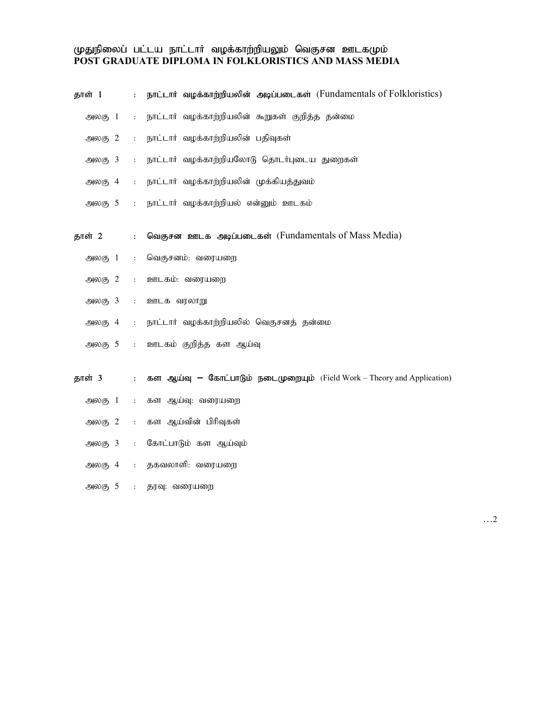#### முதுநிலைப் பட்டய நாட்டார் வழக்காற்றியலும் வெகுசன ஊடகமும<mark>்</mark> POST GRADUATE DIPLOMA IN FOLKLORISTICS AND MASS MEDIA

| தாள் 1                                        | $\ddot{\cdot}$       | நாட்டார் வழக்காற்றியலின் அடிப்படைகள் (Fundamentals of Folkloristics)           |
|-----------------------------------------------|----------------------|--------------------------------------------------------------------------------|
| அலகு 1                                        | $\mathbf{r}$         | நாட்டார் வழக்காற்றியலின் கூறுகள் குறித்த தன்மை                                 |
| $\Theta$ <sub>6</sub> $\Theta$ <sub>7</sub> 2 | $\ddot{\phantom{a}}$ | நாட்டார் வழக்காற்றியலின் பதிவுகள்                                              |
| $\mathfrak{Mod}_5$ 3                          | $\ddot{\phantom{a}}$ | நாட்டார் வழக்காற்றியலோடு தொடர்புடைய துறைகள்                                    |
| அலகு 4                                        | $\ddot{\phantom{a}}$ | நாட்டார் வழக்காற்றியலின் முக்கியத்துவம்                                        |
| அலகு 5                                        | $\mathbf{L}$         | நாட்டார் வழக்காற்றியல் என்னும் ஊடகம்                                           |
| தாள் 2                                        | $\ddot{\cdot}$       | வெகுசன ஊடக அடிப்படைகள் (Fundamentals of Mass Media)                            |
| $\bigoplus$ <sub>(5)</sub> 1                  | $\div$               | வெகுசனம்: வரையறை                                                               |
| $\mathfrak{Mod}_5$ 2                          | $\mathbb{R}^2$       | ஊடகம்: வரையறை                                                                  |
| $\mathfrak{Mod}_5$ 3                          | $\ddot{\cdot}$       | ஊடக வரலாறு                                                                     |
| அலகு 4                                        | $\pm$                | நாட்டார் வழக்காற்றியலில் வெகுசனத் தன்மை                                        |
| அலகு 5                                        | $\pm$ .              | ஊடகம் குறித்த கள ஆய்வு                                                         |
| தாள் 3                                        | $\mathcal{L}^{\pm}$  | <b>கள ஆய்வு – கோட்பாடும் நடைமுறையும்</b> (Field Work – Theory and Application) |
| அலகு 1                                        | $\sim 10$            | கள ஆய்வு: வரையறை                                                               |
| $\mathfrak{Mod}_5$ 2                          | $\mathcal{L}^{\pm}$  | கள ஆய்வின் பிரிவுகள்                                                           |
| $\mathfrak{Mod}(5, 3)$                        | $\mathbf{r}$         | கோட்பாடும் கள ஆய்வும்                                                          |
| $\mathfrak{Mod}_6$ 4                          | $\sim 10$            | தகவலாளி: வரையறை                                                                |
| அலகு 5                                        | $\mathbb{E}[\cdot]$  | தரவு: வரையறை                                                                   |

…2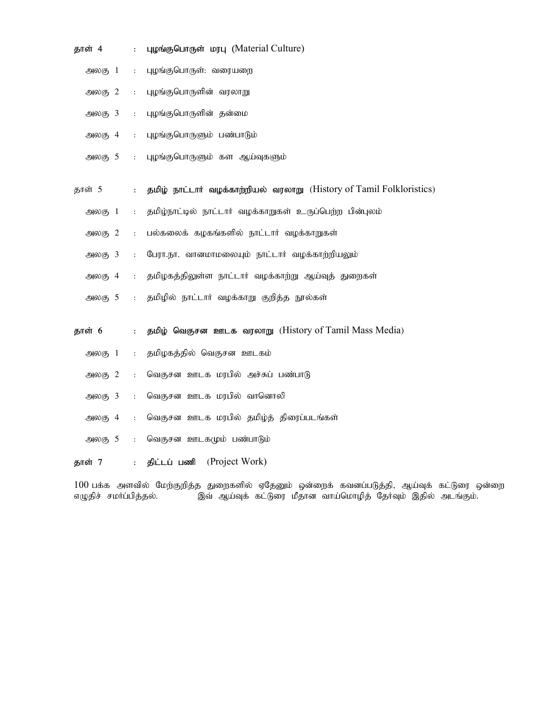| தாள் 4               | $\ddot{\phantom{a}}$ | <b>цирыс былстонати существения</b> Culture)                         |
|----------------------|----------------------|----------------------------------------------------------------------|
| அலகு $1$             | $\ddot{\phantom{a}}$ | புழங்குபொருள்: வரையறை                                                |
| அலகு 2               | $\ddot{\phantom{a}}$ | புழங்குபொருளின் வரலாறு                                               |
| $\mathfrak{Mod}_5$ 3 | $\ddot{\cdot}$       | புழங்குபொருளின் தன்மை                                                |
| அலகு 4               | $\ddot{\cdot}$       | புழங்குபொருளும் பண்பாடும்                                            |
| $-900(5)$ 5          | $\mathbf{r}$         | புழங்குபொருளும் கள ஆய்வுகளும்                                        |
| தாள் 5               | $\ddot{\cdot}$       | தமிழ் நாட்டார் வழக்காற்றியல் வரலாறு (History of Tamil Folkloristics) |
| அலகு 1               | $\ddot{\cdot}$       | தமிழ்நாட்டில் நாட்டார் வழக்காறுகள் உருப்பெற்ற பின்புலம்              |
| அலகு $2$             | $\mathbf{r}$         | பல்கலைக் கழகங்களில் நாட்டார் வழக்காறுகள்                             |
| $\mathfrak{Mod}_5$ 3 | $\ddot{\phantom{a}}$ | பேரா.நா. வானமாமலையும் நாட்டார் வழக்காற்றியலும்                       |
| அலகு 4               | $\ddot{\phantom{a}}$ | தமிழகத்திலுள்ள நாட்டார் வழக்காற்று ஆய்வுத் துறைகள்                   |
| $-900(5)$ 5          | $\ddot{\phantom{a}}$ | தமிழில் நாட்டார் வழக்காறு குறித்த நூல்கள்                            |
| தாள் 6               | $\ddot{\cdot}$       | தமிழ் வெகுசன ஊடக வரலாறு (History of Tamil Mass Media)                |
| அலகு 1               | $\ddot{\phantom{a}}$ | தமிழகத்தில் வெகுசன ஊடகம்                                             |
| $\mathfrak{Mod}_5$ 2 | ÷.                   | வெகுசன ஊடக மரபில் அச்சுப் பண்பாடு                                    |
| $\mathfrak{Mod}_5$ 3 | $\ddot{\cdot}$       | வெகுசன ஊடக மரபில் வானொலி                                             |
| அலகு 4               | $\ddot{\phantom{a}}$ | வெகுசன ஊடக மரபில் தமிழ்த் திரைப்படங்கள்                              |
| அலகு 5               | $\ddot{\cdot}$       | வெகுசன ஊடகமும் பண்பாடும்                                             |
| தாள் 7               | $\ddot{\cdot}$       | (Project Work)<br>திட்டப் பணி                                        |

 $100$  பக்க அளவில் மேற்குறித்த துறைகளில் ஏதேனும் ஒன்றைக் கவனப்படுத்தி, ஆய்வுக் கட்டுரை ஒன்றை எழுதிச் சமா்ப்பித்தல். இவ் ஆய்வுக் கட்டுரை மீதான வாய்மொழித் தோ்வும் இதில் அடங்கும்.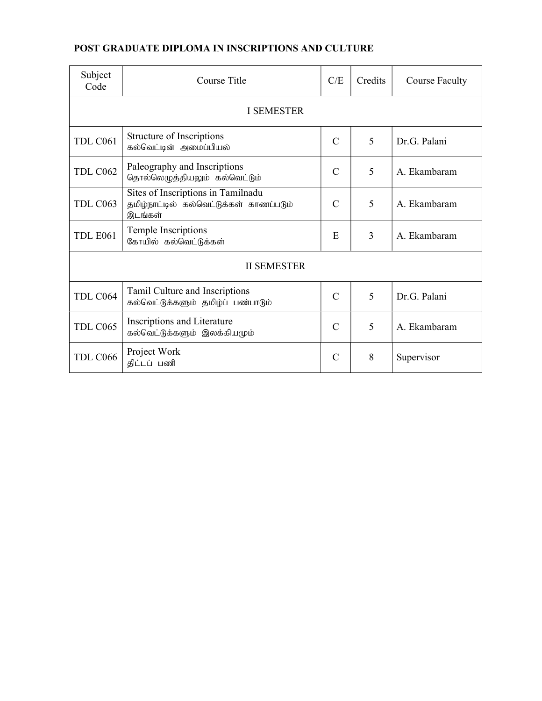## POST GRADUATE DIPLOMA IN INSCRIPTIONS AND CULTURE

| Subject<br>Code | Course Title                                                                             | C/E            | Credits | <b>Course Faculty</b> |  |  |  |  |  |  |
|-----------------|------------------------------------------------------------------------------------------|----------------|---------|-----------------------|--|--|--|--|--|--|
| I SEMESTER      |                                                                                          |                |         |                       |  |  |  |  |  |  |
| TDL C061        | Structure of Inscriptions<br>கல்வெட்டின் அமைப்பியல்                                      | $\mathcal{C}$  | 5       | Dr.G. Palani          |  |  |  |  |  |  |
| <b>TDL C062</b> | Paleography and Inscriptions<br>தொல்லெழுத்தியலும் கல்வெட்டும்                            | $\mathsf{C}$   | 5       | A. Ekambaram          |  |  |  |  |  |  |
| TDL C063        | Sites of Inscriptions in Tamilnadu<br>தமிழ்நாட்டில் கல்வெட்டுக்கள் காணப்படும்<br>இடங்கள் | $\mathcal{C}$  | 5       | A. Ekambaram          |  |  |  |  |  |  |
| <b>TDL E061</b> | Temple Inscriptions<br>கோயில் கல்வெட்டுக்கள்                                             | E              | 3       | A. Ekambaram          |  |  |  |  |  |  |
|                 | <b>II SEMESTER</b>                                                                       |                |         |                       |  |  |  |  |  |  |
| TDL C064        | Tamil Culture and Inscriptions<br>கல்வெட்டுக்களும் தமிழ்ப் பண்பாடும்                     | $\overline{C}$ | 5       | Dr.G. Palani          |  |  |  |  |  |  |
| TDL C065        | Inscriptions and Literature<br>கல்வெட்டுக்களும் இலக்கியமும்                              | $\mathcal{C}$  | 5       | A. Ekambaram          |  |  |  |  |  |  |
| TDL C066        | Project Work<br>திட்டப் பணி                                                              | $\mathsf{C}$   | 8       | Supervisor            |  |  |  |  |  |  |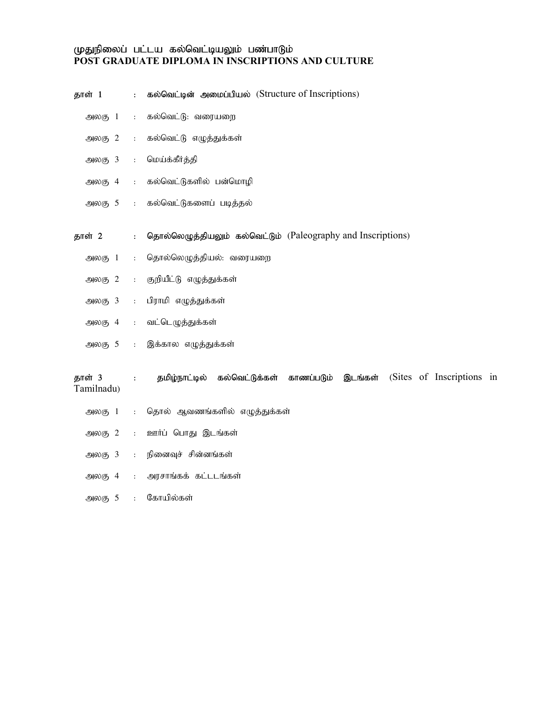#### முதுநிலைப் பட்டய கல்வெட்டியலும் பண்பாடும் POST GRADUATE DIPLOMA IN INSCRIPTIONS AND CULTURE

| தாள் 1                                        | $\ddot{\cdot}$       | கல்வெட்டின் அமைப்பியல் (Structure of Inscriptions)                                    |
|-----------------------------------------------|----------------------|---------------------------------------------------------------------------------------|
| $\bigoplus$ <sub>(5)</sub> $1$                | $\ddot{\cdot}$       | கல்வெட்டு: வரையறை                                                                     |
| $\mathfrak{Mod}_5$ 2                          | $\mathbf{r}$         | கல்வெட்டு எழுத்துக்கள்                                                                |
| $\mathfrak{Mod}_5$ 3                          | $\mathbf{r}$         | மெய்க்கீர்த்தி                                                                        |
| அலகு 4                                        | $\ddot{\cdot}$       | கல்வெட்டுகளில் பன்மொழி                                                                |
| $-900(5)$ 5                                   | $\mathbf{.}$         | கல்வெட்டுகளைப் படித்தல்                                                               |
|                                               |                      |                                                                                       |
| தாள் 2                                        | $\ddot{\cdot}$       | தொல்லெழுத்தியலும் கல்வெட்டும் (Paleography and Inscriptions)                          |
| அலகு 1                                        | $\ddot{\phantom{a}}$ | தொல்லெழுத்தியல்: வரையறை                                                               |
| அலகு 2                                        | $\ddot{\phantom{a}}$ | குறியீட்டு எழுத்துக்கள்                                                               |
| $\mathfrak{Mod}_5$ 3                          | $\colon$             | பிராமி எழுத்துக்கள்                                                                   |
| $\bigoplus$ 60 $\left(\overline{5}, 4\right)$ | $\ddot{\cdot}$       | வட்டெழுத்துக்கள்                                                                      |
| அலகு 5                                        | $\ddot{\cdot}$       | இக்கால எழுத்துக்கள்                                                                   |
|                                               |                      |                                                                                       |
| தாள் 3<br>Tamilnadu)                          | $\ddot{\phantom{a}}$ | (Sites of Inscriptions in<br>தமிழ்நாட்டில்<br>கல்வெட்டுக்கள்<br>காணப்படும்<br>இடங்கள் |
| அலகு 1                                        | $\ddot{\phantom{a}}$ | தொல் ஆவணங்களில் எழுத்துக்கள்                                                          |
| அலகு 2                                        | $\ddot{\phantom{a}}$ | ஊர்ப் பொது இடங்கள்                                                                    |
| $\mathfrak{Mod}_5$ 3                          | $\colon$             | நினைவுச் சின்னங்கள்                                                                   |
| அலகு 4                                        | $\ddot{\cdot}$       | அரசாங்கக் கட்டடங்கள்                                                                  |
| அலகு 5                                        | $\ddot{\cdot}$       | கோயில்கள்                                                                             |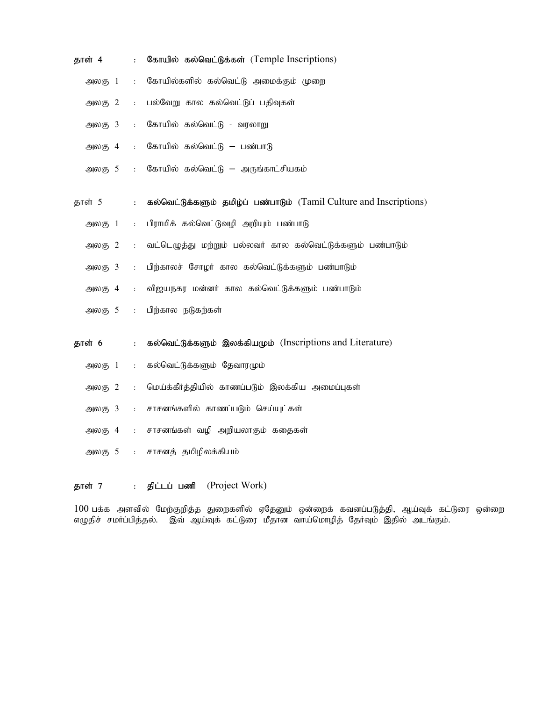| தாள் 4               | $\ddot{\cdot}$       | கோயில் கல்வெட்டுக்கள் (Temple Inscriptions)                         |
|----------------------|----------------------|---------------------------------------------------------------------|
| அலகு 1               | $\ddot{\phantom{a}}$ | கோயில்களில் கல்வெட்டு அமைக்கும் முறை                                |
| அலகு 2               | $\ddot{\phantom{a}}$ | பல்வேறு கால கல்வெட்டுப் பதிவுகள்                                    |
| அலகு 3               | $\ddot{\phantom{a}}$ | கோயில் கல்வெட்டு - வரலாறு                                           |
| அலகு 4               | $\ddot{\cdot}$       | கோயில் கல்வெட்டு – பண்பாடு                                          |
| $\mathfrak{Mod}_5$ 5 | $\ddot{\cdot}$       | கோயில் கல்வெட்டு – அருங்காட்சியகம்                                  |
| தாள் 5               | $\ddot{\cdot}$       | கல்வெட்டுக்களும் தமிழ்ப் பண்பாடும் (Tamil Culture and Inscriptions) |
| அலகு 1               | $\ddot{\phantom{a}}$ | பிராமிக் கல்வெட்டுவழி அறியும் பண்பாடு                               |
| $\mathfrak{Mod}_5$ 2 | $\ddot{\phantom{a}}$ | வட்டெழுத்து மற்றும் பல்லவர் கால கல்வெட்டுக்களும் பண்பாடும்          |
| $\mathfrak{Mod}_5$ 3 | $\ddot{\phantom{a}}$ | பிற்காலச் சோழர் கால கல்வெட்டுக்களும் பண்பாடும்                      |
| அலகு 4               | $\ddot{\phantom{a}}$ | விஜயநகர மன்னர் கால கல்வெட்டுக்களும் பண்பாடும்                       |
| $-900(5)$ 5          | $\ddot{\Sigma}$      | பிற்கால நடுகற்கள்                                                   |
| தாள் 6               | $\ddot{\cdot}$       | கல்வெட்டுக்களும் இலக்கியமும் (Inscriptions and Literature)          |
| அலகு 1               | $\ddot{\phantom{a}}$ | கல்வெட்டுக்களும் தேவாரமும்                                          |
| அலகு 2               | $\ddot{\phantom{a}}$ | மெய்க்கீர்த்தியில் காணப்படும் இலக்கிய அமைப்புகள்                    |
| அலகு 3               | $\ddot{\cdot}$       | சாசனங்களில் காணப்படும் செய்யுட்கள்                                  |
| அலகு 4               | $\ddot{\phantom{a}}$ | சாசனங்கள் வழி அறியலாகும் கதைகள்                                     |
| அலகு 5               | $\pm$                | சாசனத் தமிழிலக்கியம்                                                |

தாள் 7 : திட்டப் பணி (Project Work)

 $100$  பக்க அளவில் மேற்குறித்த துறைகளில் ஏதேனும் ஒன்றைக் கவனப்படுத்தி, ஆய்வுக் கட்டுரை ஒன்றை எழுதிச் சமா்ப்பித்தல். இவ் ஆய்வுக் கட்டுரை மீதான வாய்மொழித் தோ்வும் இதில் அடங்கும்.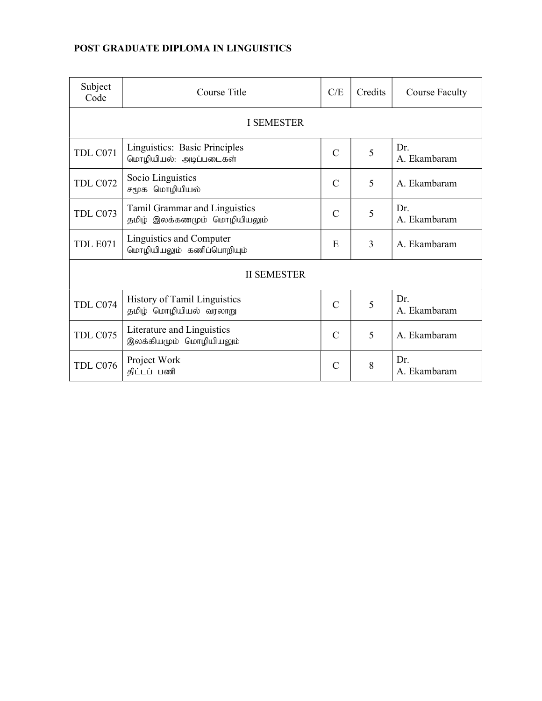## POST GRADUATE DIPLOMA IN LINGUISTICS

| Subject<br>Code | Course Title                                                  | C/E           | Credits | <b>Course Faculty</b> |  |  |  |  |  |  |
|-----------------|---------------------------------------------------------------|---------------|---------|-----------------------|--|--|--|--|--|--|
| I SEMESTER      |                                                               |               |         |                       |  |  |  |  |  |  |
| TDL C071        | Linguistics: Basic Principles<br>மொழியியல்: அடிப்படைகள்       | $\mathcal{C}$ | 5       | Dr.<br>A. Ekambaram   |  |  |  |  |  |  |
| TDL C072        | Socio Linguistics<br>சமூக மொழியியல்                           | $\mathcal{C}$ | 5       | A. Ekambaram          |  |  |  |  |  |  |
| TDL C073        | Tamil Grammar and Linguistics<br>தமிழ் இலக்கணமும் மொழியியலும் | $\mathcal{C}$ | 5       | Dr.<br>A. Ekambaram   |  |  |  |  |  |  |
| <b>TDL E071</b> | Linguistics and Computer<br>மொழியியலும் கணிப்பொறியும்         | E             | 3       | A. Ekambaram          |  |  |  |  |  |  |
|                 | <b>II SEMESTER</b>                                            |               |         |                       |  |  |  |  |  |  |
| TDL C074        | History of Tamil Linguistics<br>தமிழ் மொழியியல் வரலாறு        | $\mathcal{C}$ | 5       | Dr.<br>A. Ekambaram   |  |  |  |  |  |  |
| TDL C075        | Literature and Linguistics<br>இலக்கியமும் மொழியியலும்         | $\mathcal{C}$ | 5       | A. Ekambaram          |  |  |  |  |  |  |
| TDL C076        | Project Work<br>திட்டப் பணி                                   | C             | 8       | Dr.<br>A. Ekambaram   |  |  |  |  |  |  |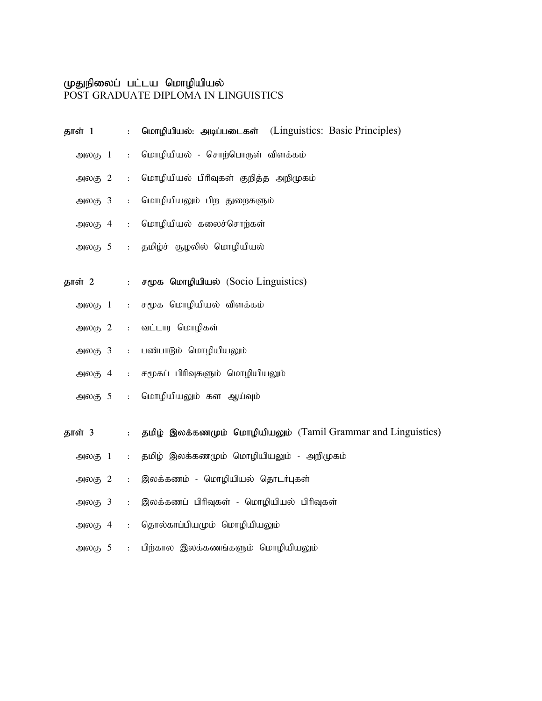#### முதுநிலைப் பட்டய மொழியியல்

POST GRADUATE DIPLOMA IN LINGUISTICS

| தாள் 1               | $\ddot{\cdot}$ | மொழியியல்: அடிப்படைகள் (Linguistics: Basic Principles)       |
|----------------------|----------------|--------------------------------------------------------------|
| அலகு 1               | $\ddot{\cdot}$ | மொழியியல் - சொற்பொருள் விளக்கம்                              |
| அலகு $2$             | $\ddot{\cdot}$ | மொழியியல் பிரிவுகள் குறித்த அறிமுகம்                         |
| $\mathfrak{Mod}_5$ 3 | $\ddot{\cdot}$ | மொழியியலும் பிற துறைகளும்                                    |
| அலகு 4               | $\ddot{\cdot}$ | மொழியியல் கலைச்சொற்கள்                                       |
| $\mathfrak{Mod}_5$ 5 | $\ddot{\cdot}$ | தமிழ்ச் சூழலில் மொழியியல்                                    |
| தாள் 2               | $\ddot{\cdot}$ | சமூக மொழியியல் (Socio Linguistics)                           |
| அலகு 1               | $\ddot{\cdot}$ | சமூக மொழியியல் விளக்கம்                                      |
| அலகு $2$             | $\ddot{\cdot}$ | வட்டார மொழிகள்                                               |
| $\mathfrak{Mod}_5$ 3 | $\ddot{\cdot}$ | பண்பாடும் மொழியியலும்                                        |
| அலகு 4               | $\ddot{\cdot}$ | சமூகப் பிரிவுகளும் மொழியியலும்                               |
| $\mathfrak{Mod}_5$ 5 | $\ddot{\cdot}$ | மொழியியலும் கள ஆய்வும்                                       |
| தாள் 3               | $\ddot{\cdot}$ | தமிழ் இலக்கணமும் மொழியியலும் (Tamil Grammar and Linguistics) |
| அலகு 1               | $\ddot{\cdot}$ | தமிழ் இலக்கணமும் மொழியியலும் - அறிமுகம்                      |
| $\mathfrak{Mod}_5$ 2 | $\ddot{\cdot}$ | இலக்கணம் - மொழியியல் தொடர்புகள்                              |
| $\mathfrak{Mod}_5$ 3 | $\ddot{\cdot}$ | இலக்கணப் பிரிவுகள் - மொழியியல் பிரிவுகள்                     |
| அலகு 4               | $\ddot{\cdot}$ | தொல்காப்பியமும் மொழியியலும்                                  |
| அலகு 5               | $\ddot{\cdot}$ | பிற்கால இலக்கணங்களும் மொழியியலும்                            |